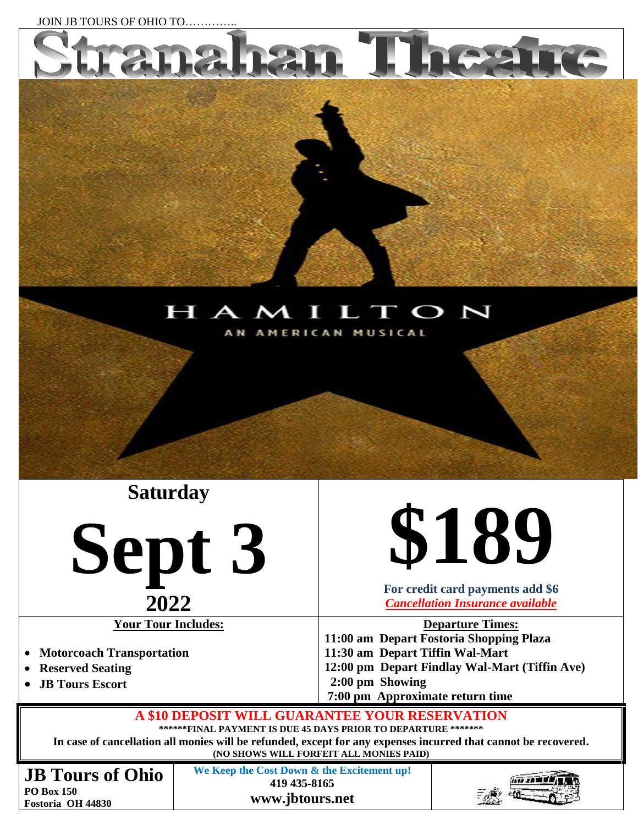

**PO Box 150 Fostoria OH 44830** **www.jbtours.net**